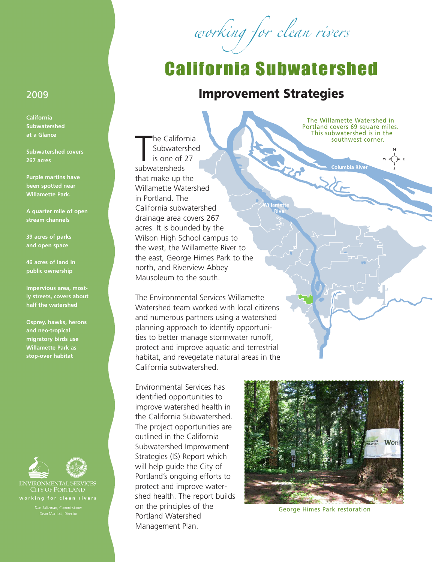working for clean rivers

## California Subwatershed

## 2009 **Improvement Strategies**

ZA N

The Californ<br>Subwater<br>is one of<br>subwatersheds he California **Subwatershed** is one of 27 that make up the Willamette Watershed in Portland. The California subwatershed drainage area covers 267 acres. It is bounded by the Wilson High School campus to the west, the Willamette River to the east, George Himes Park to the north, and Riverview Abbey Mausoleum to the south.

The Environmental Services Willamette Watershed team worked with local citizens and numerous partners using a watershed planning approach to identify opportunities to better manage stormwater runoff, protect and improve aquatic and terrestrial habitat, and revegetate natural areas in the California subwatershed.

Environmental Services has identified opportunities to improve watershed health in the California Subwatershed. The project opportunities are outlined in the California Subwatershed Improvement Strategies (IS) Report which will help guide the City of Portland's ongoing efforts to protect and improve watershed health. The report builds on the principles of the Portland Watershed Management Plan.

The Willamette Watershed in Portland covers 69 square miles. This subwatershed is in the southwest corner.

**Columbia River** 

Wor

George Himes Park restoration

**California Subwatershed at a Glance**

**Subwatershed covers 267 acres**

**Purple martins have been spotted near Willamette Park.**

**A quarter mile of open stream channels**

**39 acres of parks and open space**

**46 acres of land in public ownership**

**Impervious area, mostly streets, covers about half the watershed**

**Osprey, hawks, herons and neo-tropical migratory birds use Willamette Park as stop-over habitat**